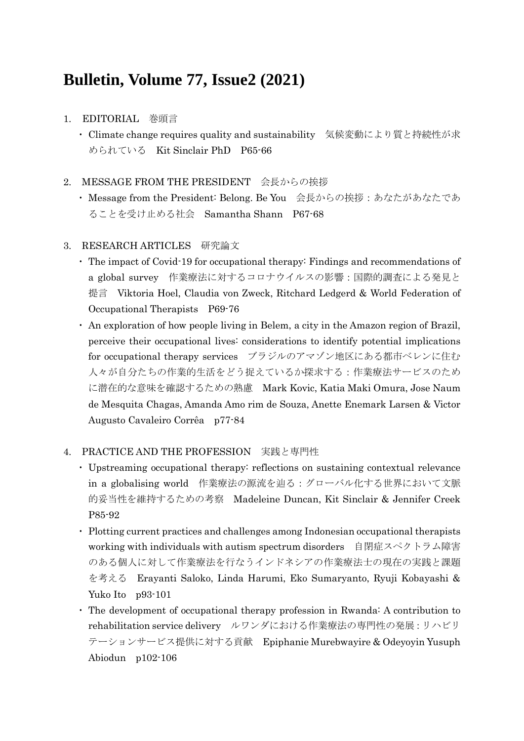# **Bulletin, Volume 77, Issue2 (2021)**

# 1. EDITORIAL 巻頭言

・ Climate change requires quality and sustainability 気候変動により質と持続性が求 められている Kit Sinclair PhD P65-66

## 2. MESSAGE FROM THE PRESIDENT 会長からの挨拶

・ Message from the President: Belong. Be You 会長からの挨拶:あなたがあなたであ ることを受け止める社会 Samantha Shann P67-68

### 3. RESEARCH ARTICLES 研究論文

- ・ The impact of Covid-19 for occupational therapy: Findings and recommendations of a global survey 作業療法に対するコロナウイルスの影響:国際的調査による発見と 提言 Viktoria Hoel, Claudia von Zweck, Ritchard Ledgerd & World Federation of Occupational Therapists P69-76
- ・ An exploration of how people living in Belem, a city in the Amazon region of Brazil, perceive their occupational lives: considerations to identify potential implications for occupational therapy services ブラジルのアマゾン地区にある都市ベレンに住む 人々が自分たちの作業的生活をどう捉えているか探求する:作業療法サービスのため に潜在的な意味を確認するための熟慮 Mark Kovic, Katia Maki Omura, Jose Naum de Mesquita Chagas, Amanda Amo rim de Souza, Anette Enemark Larsen & Victor Augusto Cavaleiro Corrêa p77-84

### 4. PRACTICE AND THE PROFESSION 実践と専門性

- ・ Upstreaming occupational therapy: reflections on sustaining contextual relevance in a globalising world 作業療法の源流を辿る:グローバル化する世界において文脈 的妥当性を維持するための考察 Madeleine Duncan, Kit Sinclair & Jennifer Creek P85-92
- ・ Plotting current practices and challenges among Indonesian occupational therapists working with individuals with autism spectrum disorders 自閉症スペクトラム障害 のある個人に対して作業療法を行なうインドネシアの作業療法士の現在の実践と課題 を考える Erayanti Saloko, Linda Harumi, Eko Sumaryanto, Ryuji Kobayashi & Yuko Ito p93-101
- ・ The development of occupational therapy profession in Rwanda: A contribution to rehabilitation service delivery ルワンダにおける作業療法の専門性の発展:リハビリ テーションサービス提供に対する貢献 Epiphanie Murebwayire & Odeyoyin Yusuph Abiodun p102-106